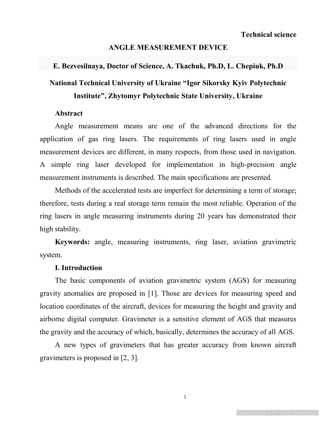## **ANGLE MEASUREMENT DEVICE**

## **E. Bezvesilnaya, Doctor of Science, A. Tkachuk, Ph.D, L. Chepiuk, Ph.D**

# **National Technical University of Ukraine "Igor Sikorsky Kyiv Polytechnic Institute", Zhytomyr Polytechnic State University, Ukraine**

#### **Abstract**

Angle measurement means are one of the advanced directions for the application of gas ring lasers. The requirements of ring lasers used in angle measurement devices are different, in many respects, from those used in navigation. A simple ring laser developed for implementation in high-precision angle measurement instruments is described. The main specifications are presented.

Methods of the accelerated tests are imperfect for determining a term of storage; therefore, tests during a real storage term remain the most reliable. Operation of the ring lasers in angle measuring instruments during 20 years has demonstrated their high stability.

**Keywords:** angle, measuring instruments, ring laser, aviation gravimetric system.

### **I. Introduction**

The basic components of aviation gravimetric system (AGS) for measuring gravity anomalies are proposed in [1]. Those are devices for measuring speed and location coordinates of the aircraft, devices for measuring the height and gravity and airborne digital computer. Gravimeter is a sensitive element of AGS that measures the gravity and the accuracy of which, basically, determines the accuracy of all AGS.

A new types of gravimeters that has greater accuracy from known aircraft gravimeters is proposed in [2, 3].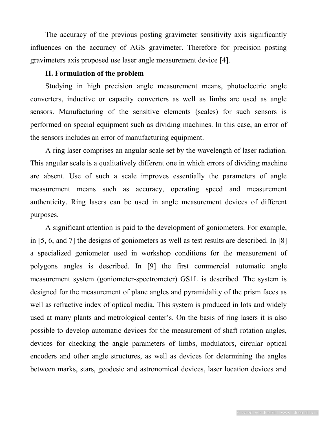The accuracy of the previous posting gravimeter sensitivity axis significantly influences on the accuracy of AGS gravimeter. Therefore for precision posting gravimeters axis proposed use laser angle measurement device [4].

#### **II. Formulation of the problem**

Studying in high precision angle measurement means, photoelectric angle converters, inductive or capacity converters as well as limbs are used as angle sensors. Manufacturing of the sensitive elements (scales) for such sensors is performed on special equipment such as dividing machines. In this case, an error of the sensors includes an error of manufacturing equipment.

A ring laser comprises an angular scale set by the wavelength of laser radiation. This angular scale is a qualitatively different one in which errors of dividing machine are absent. Use of such a scale improves essentially the parameters of angle measurement means such as accuracy, operating speed and measurement authenticity. Ring lasers can be used in angle measurement devices of different purposes.

A significant attention is paid to the development of goniometers. For example, in [5, 6, and 7] the designs of goniometers as well as test results are described. In [8] a specialized goniometer used in workshop conditions for the measurement of polygons angles is described. In [9] the first commercial automatic angle measurement system (goniometer-spectrometer) GS1L is described. The system is designed for the measurement of plane angles and pyramidality of the prism faces as well as refractive index of optical media. This system is produced in lots and widely used at many plants and metrological center's. On the basis of ring lasers it is also possible to develop automatic devices for the measurement of shaft rotation angles, devices for checking the angle parameters of limbs, modulators, circular optical encoders and other angle structures, as well as devices for determining the angles between marks, stars, geodesic and astronomical devices, laser location devices and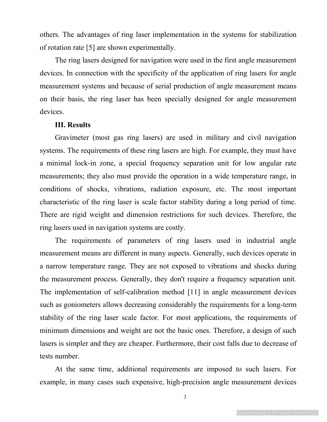others. The advantages of ring laser implementation in the systems for stabilization of rotation rate [5] are shown experimentally.

The ring lasers designed for navigation were used in the first angle measurement devices. In connection with the specificity of the application of ring lasers for angle measurement systems and because of serial production of angle measurement means on their basis, the ring laser has been specially designed for angle measurement devices.

#### **III. Results**

Gravimeter (most gas ring lasers) are used in military and civil navigation systems. The requirements of these ring lasers are high. For example, they must have a minimal lock-in zone, a special frequency separation unit for low angular rate measurements; they also must provide the operation in a wide temperature range, in conditions of shocks, vibrations, radiation exposure, etc. The most important characteristic of the ring laser is scale factor stability during a long period of time. There are rigid weight and dimension restrictions for such devices. Therefore, the ring lasers used in navigation systems are costly.

The requirements of parameters of ring lasers used in industrial angle measurement means are different in many aspects. Generally, such devices operate in a narrow temperature range. They are not exposed to vibrations and shocks during the measurement process. Generally, they don't require a frequency separation unit. The implementation of self-calibration method [11] in angle measurement devices such as goniometers allows decreasing considerably the requirements for a long-term stability of the ring laser scale factor. For most applications, the requirements of minimum dimensions and weight are not the basic ones. Therefore, a design of such lasers is simpler and they are cheaper. Furthermore, their cost falls due to decrease of tests number.

At the same time, additional requirements are imposed to such lasers. For example, in many cases such expensive, high-precision angle measurement devices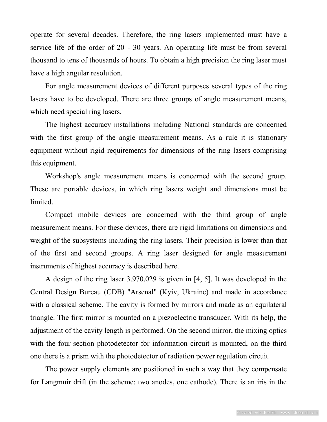operate for several decades. Therefore, the ring lasers implemented must have a service life of the order of 20 - 30 years. An operating life must be from several thousand to tens of thousands of hours. To obtain a high precision the ring laser must have a high angular resolution.

For angle measurement devices of different purposes several types of the ring lasers have to be developed. There are three groups of angle measurement means, which need special ring lasers.

The highest accuracy installations including National standards are concerned with the first group of the angle measurement means. As a rule it is stationary equipment without rigid requirements for dimensions of the ring lasers comprising this equipment.

Workshop's angle measurement means is concerned with the second group. These are portable devices, in which ring lasers weight and dimensions must be limited.

Compact mobile devices are concerned with the third group of angle measurement means. For these devices, there are rigid limitations on dimensions and weight of the subsystems including the ring lasers. Their precision is lower than that of the first and second groups. A ring laser designed for angle measurement instruments of highest accuracy is described here.

A design of the ring laser 3.970.029 is given in [4, 5]. It was developed in the Central Design Bureau (CDB) "Arsenal" (Kyiv, Ukraine) and made in accordance with a classical scheme. The cavity is formed by mirrors and made as an equilateral triangle. The first mirror is mounted on a piezoelectric transducer. With its help, the adjustment of the cavity length is performed. On the second mirror, the mixing optics with the four-section photodetector for information circuit is mounted, on the third one there is a prism with the photodetector of radiation power regulation circuit.

The power supply elements are positioned in such a way that they compensate for Langmuir drift (in the scheme: two anodes, one cathode). There is an iris in the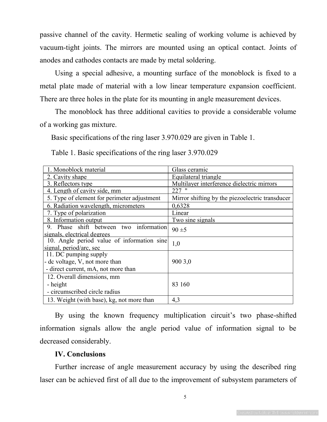passive channel of the cavity. Hermetic sealing of working volume is achieved by vacuum-tight joints. The mirrors are mounted using an optical contact. Joints of anodes and cathodes contacts are made by metal soldering.

Using a special adhesive, a mounting surface of the monoblock is fixed to a metal plate made of material with a low linear temperature expansion coefficient. There are three holes in the plate for its mounting in angle measurement devices.

The monoblock has three additional cavities to provide a considerable volume of a working gas mixture.

Basic specifications of the ring laser 3.970.029 are given in Table 1.

Table 1. Basic specifications of the ring laser 3.970.029

| 1. Monoblock material                       | Glass ceramic                                   |
|---------------------------------------------|-------------------------------------------------|
| 2. Cavity shape                             | Equilateral triangle                            |
| 3. Reflectors type                          | Multilayer interference dielectric mirrors      |
| 4. Length of cavity side, mm                | $227$ "                                         |
| 5. Type of element for perimeter adjustment | Mirror shifting by the piezoelectric transducer |
| 6. Radiation wavelength, micrometers        | 0,6328                                          |
| 7. Type of polarization                     | Linear                                          |
| 8. Information output                       | Two sine signals                                |
| 9. Phase shift between two information      | $90 \pm 5$                                      |
| signals, electrical degrees                 |                                                 |
| 10. Angle period value of information sine  | 1,0                                             |
| signal, period/arc, sec                     |                                                 |
| 11. DC pumping supply                       |                                                 |
| - dc voltage, V, not more than              | 900 3,0                                         |
| - direct current, mA, not more than         |                                                 |
| 12. Overall dimensions, mm                  |                                                 |
| - height                                    | 83 160                                          |
| - circumscribed circle radius               |                                                 |
| 13. Weight (with base), kg, not more than   | 4,3                                             |

By using the known frequency multiplication circuit's two phase-shifted information signals allow the angle period value of information signal to be decreased considerably.

# **IV. Conclusions**

Further increase of angle measurement accuracy by using the described ring laser can be achieved first of all due to the improvement of subsystem parameters of